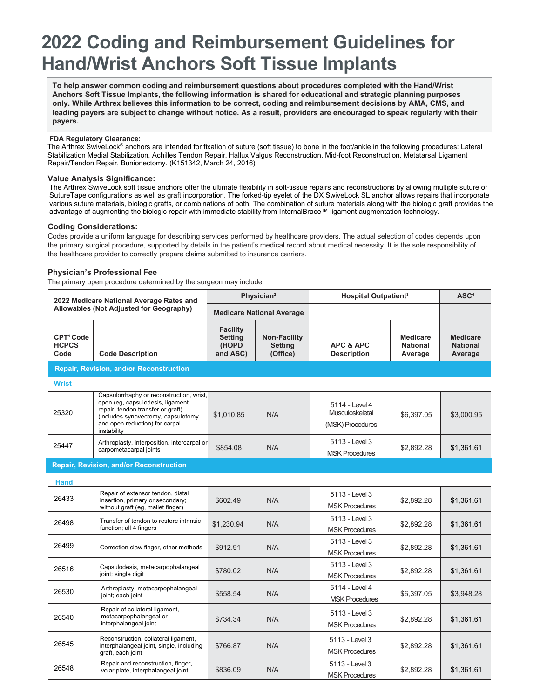# **2022 Coding and Reimbursement Guidelines for Hand/Wrist Anchors Soft Tissue Implants**

**To help answer common coding and reimbursement questions about procedures completed with the Hand/Wrist Anchors Soft Tissue Implants, the following information is shared for educational and strategic planning purposes only. While Arthrex believes this information to be correct, coding and reimbursement decisions by AMA, CMS, and leading payers are subject to change without notice. As a result, providers are encouraged to speak regularly with their payers.**

## **FDA Regulatory Clearance:**

The Arthrex SwiveLock® anchors are intended for fixation of suture (soft tissue) to bone in the foot/ankle in the following procedures: Lateral Stabilization Medial Stabilization, Achilles Tendon Repair, Hallux Valgus Reconstruction, Mid-foot Reconstruction, Metatarsal Ligament Repair/Tendon Repair, Bunionectomy. (K151342, March 24, 2016)

#### **Value Analysis Significance:**

The Arthrex SwiveLock soft tissue anchors offer the ultimate flexibility in soft-tissue repairs and reconstructions by allowing multiple suture or SutureTape configurations as well as graft incorporation. The forked-tip eyelet of the DX SwiveLock SL anchor allows repairs that incorporate various suture materials, biologic grafts, or combinations of both. The combination of suture materials along with the biologic graft provides the advantage of augmenting the biologic repair with immediate stability from InternalBrace™ ligament augmentation technology.

# **Coding Considerations:**

Codes provide a uniform language for describing services performed by healthcare providers. The actual selection of codes depends upon the primary surgical procedure, supported by details in the patient's medical record about medical necessity. It is the sole responsibility of the healthcare provider to correctly prepare claims submitted to insurance carriers.

### **Physician's Professional Fee**

The primary open procedure determined by the surgeon may include:

| 2022 Medicare National Average Rates and<br>Allowables (Not Adjusted for Geography) |                                                                                                                                                                                                          | Physician <sup>2</sup><br><b>Medicare National Average</b> |                                                   | <b>Hospital Outpatient<sup>3</sup></b>                |                                               | ASC <sup>4</sup>                              |  |
|-------------------------------------------------------------------------------------|----------------------------------------------------------------------------------------------------------------------------------------------------------------------------------------------------------|------------------------------------------------------------|---------------------------------------------------|-------------------------------------------------------|-----------------------------------------------|-----------------------------------------------|--|
|                                                                                     |                                                                                                                                                                                                          |                                                            |                                                   |                                                       |                                               |                                               |  |
| CPT <sup>1</sup> Code<br><b>HCPCS</b><br>Code                                       | <b>Code Description</b>                                                                                                                                                                                  | <b>Facility</b><br><b>Setting</b><br>(HOPD<br>and ASC)     | <b>Non-Facility</b><br><b>Setting</b><br>(Office) | <b>APC &amp; APC</b><br><b>Description</b>            | <b>Medicare</b><br><b>National</b><br>Average | <b>Medicare</b><br><b>National</b><br>Average |  |
| <b>Repair, Revision, and/or Reconstruction</b>                                      |                                                                                                                                                                                                          |                                                            |                                                   |                                                       |                                               |                                               |  |
| <b>Wrist</b>                                                                        |                                                                                                                                                                                                          |                                                            |                                                   |                                                       |                                               |                                               |  |
| 25320                                                                               | Capsulorrhaphy or reconstruction, wrist,<br>open (eq. capsulodesis, ligament<br>repair, tendon transfer or graft)<br>(includes synovectomy, capsulotomy<br>and open reduction) for carpal<br>instability | \$1,010.85                                                 | N/A                                               | 5114 - Level 4<br>Musculoskeletal<br>(MSK) Procedures | \$6,397.05                                    | \$3,000.95                                    |  |
| 25447                                                                               | Arthroplasty, interposition, intercarpal or<br>carpometacarpal joints                                                                                                                                    | \$854.08                                                   | N/A                                               | 5113 - Level 3<br><b>MSK Procedures</b>               | \$2,892.28                                    | \$1,361.61                                    |  |
|                                                                                     | <b>Repair, Revision, and/or Reconstruction</b>                                                                                                                                                           |                                                            |                                                   |                                                       |                                               |                                               |  |
| <b>Hand</b>                                                                         |                                                                                                                                                                                                          |                                                            |                                                   |                                                       |                                               |                                               |  |
| 26433                                                                               | Repair of extensor tendon, distal<br>insertion, primary or secondary;<br>without graft (eg, mallet finger)                                                                                               | \$602.49                                                   | N/A                                               | 5113 - Level 3<br><b>MSK Procedures</b>               | \$2,892.28                                    | \$1,361.61                                    |  |
| 26498                                                                               | Transfer of tendon to restore intrinsic<br>function; all 4 fingers                                                                                                                                       | \$1,230.94                                                 | N/A                                               | 5113 - Level 3<br><b>MSK Procedures</b>               | \$2,892.28                                    | \$1,361.61                                    |  |
| 26499                                                                               | Correction claw finger, other methods                                                                                                                                                                    | \$912.91                                                   | N/A                                               | 5113 - Level 3<br><b>MSK Procedures</b>               | \$2,892.28                                    | \$1,361.61                                    |  |
| 26516                                                                               | Capsulodesis, metacarpophalangeal<br>joint; single digit                                                                                                                                                 | \$780.02                                                   | N/A                                               | 5113 - Level 3<br><b>MSK Procedures</b>               | \$2,892.28                                    | \$1,361.61                                    |  |
| 26530                                                                               | Arthroplasty, metacarpophalangeal<br>joint; each joint                                                                                                                                                   | \$558.54                                                   | N/A                                               | 5114 - Level 4<br><b>MSK Procedures</b>               | \$6,397.05                                    | \$3,948.28                                    |  |
| 26540                                                                               | Repair of collateral ligament,<br>metacarpophalangeal or<br>interphalangeal joint                                                                                                                        | \$734.34                                                   | N/A                                               | 5113 - Level 3<br><b>MSK Procedures</b>               | \$2,892.28                                    | \$1,361.61                                    |  |
| 26545                                                                               | Reconstruction, collateral ligament,<br>interphalangeal joint, single, including<br>graft, each joint                                                                                                    | \$766.87                                                   | N/A                                               | 5113 - Level 3<br><b>MSK Procedures</b>               | \$2,892.28                                    | \$1,361.61                                    |  |
| 26548                                                                               | Repair and reconstruction, finger,<br>volar plate, interphalangeal joint                                                                                                                                 | \$836.09                                                   | N/A                                               | 5113 - Level 3<br><b>MSK Procedures</b>               | \$2,892.28                                    | \$1,361.61                                    |  |